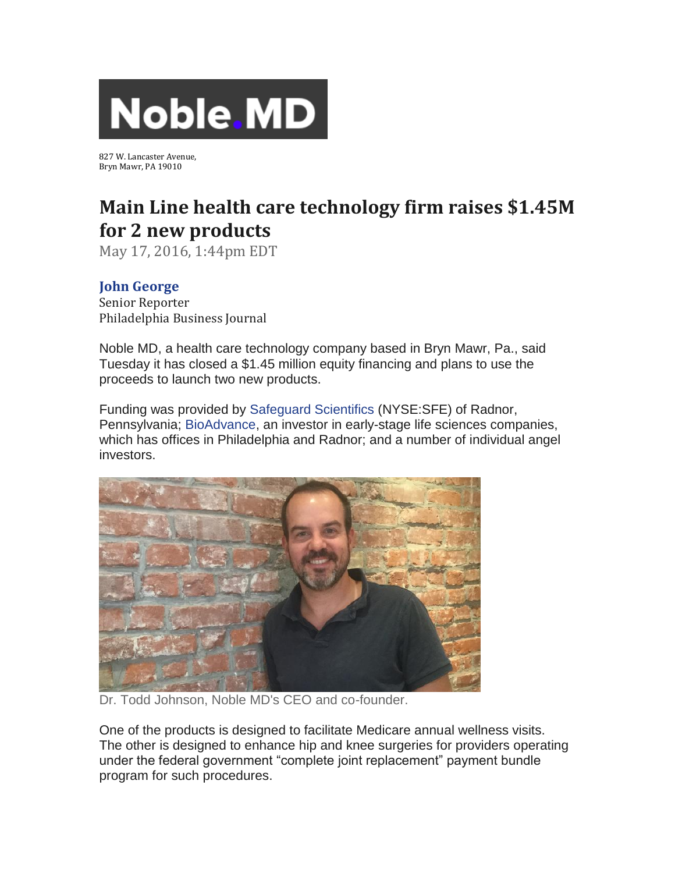

827 W. Lancaster Avenue, Bryn Mawr, PA 19010

## **Main Line health care technology firm raises \$1.45M for 2 new products**

May 17, 2016, 1:44pm EDT

## **[John George](http://www.bizjournals.com/philadelphia/bio/6321/John+George)**

Senior Reporter Philadelphia Business Journal

Noble MD, a health care technology company based in Bryn Mawr, Pa., said Tuesday it has closed a \$1.45 million equity financing and plans to use the proceeds to launch two new products.

Funding was provided by [Safeguard Scientifics](https://securepubads.g.doubleclick.net/pcs/view?xai=AKAOjstG5-lGhiQ7IpSwsOgyZIklWv6Y6bV4E2pFJkPGcKMabBaUh1k4ofu6B3rWaUwqnqXbW-8-uwgxVUdPDFXuffK5C0Jg7Q7ZyAKvrRN0itgDgfDxBUU5GQWxsNQaMwz1ysJz6oe7Ulc-M_ZGQzcphEsWdrdCRHEzBYoK7OQKkeQ4aIX2QWil2fKd8ciWllQ5cJkK79LCv7ySWJBgBztyvw31sSxb9lEE97Cs7DGiHxNq4p0jyLVxY4rxsE2YJUwW7hvHWh4kITggzV6Y4Qyt3nT6JeJs&sig=Cg0ArKJSzAq4xjiPn4qeEAE&urlfix=1&adurl=https://tpc.googlesyndication.com/pagead/imgad?id=CICAgKDT76X9axABGAEyCNk3OcrSZUB0&t=10&cT=http%3A//bizjournals.com&l=http%3A//www.bizjournals.com/profiles/company/us/pa/wayne/safeguard_scientifics_inc/3234288) (NYSE:SFE) of Radnor, Pennsylvania; [BioAdvance,](https://securepubads.g.doubleclick.net/pcs/view?xai=AKAOjstG5-lGhiQ7IpSwsOgyZIklWv6Y6bV4E2pFJkPGcKMabBaUh1k4ofu6B3rWaUwqnqXbW-8-uwgxVUdPDFXuffK5C0Jg7Q7ZyAKvrRN0itgDgfDxBUU5GQWxsNQaMwz1ysJz6oe7Ulc-M_ZGQzcphEsWdrdCRHEzBYoK7OQKkeQ4aIX2QWil2fKd8ciWllQ5cJkK79LCv7ySWJBgBztyvw31sSxb9lEE97Cs7DGiHxNq4p0jyLVxY4rxsE2YJUwW7hvHWh4kITggzV6Y4Qyt3nT6JeJs&sig=Cg0ArKJSzAq4xjiPn4qeEAE&urlfix=1&adurl=https://tpc.googlesyndication.com/pagead/imgad?id=CICAgKDT76X9axABGAEyCNk3OcrSZUB0&t=10&cT=http%3A//bizjournals.com&l=http%3A//www.bizjournals.com/profiles/company/us/pa/philadelphia/bioadvance/2131240) an investor in early-stage life sciences companies, which has offices in Philadelphia and Radnor; and a number of individual angel investors.



Dr. Todd Johnson, Noble MD's CEO and co-founder.

One of the products is designed to facilitate Medicare annual wellness visits. The other is designed to enhance hip and knee surgeries for providers operating under the federal government "complete joint replacement" payment bundle program for such procedures.